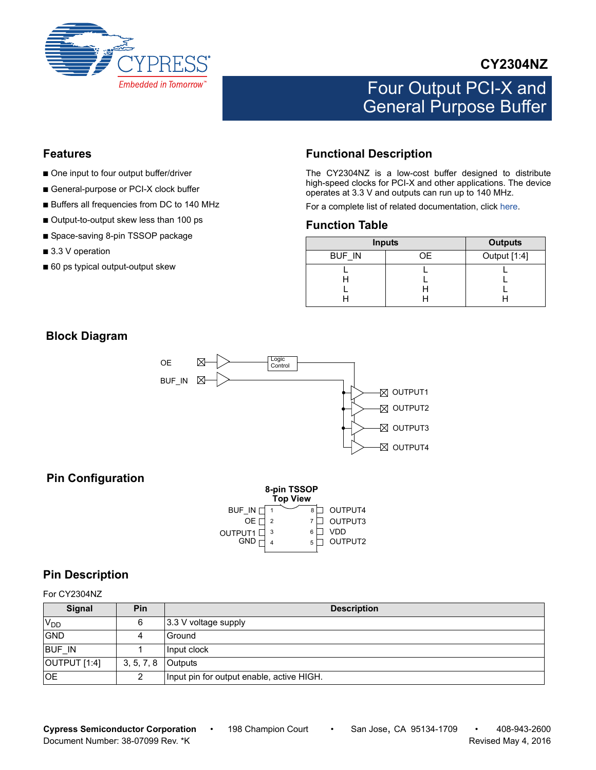

## **CY2304NZ**

# Four Output PCI-X and General Purpose Buffer

#### **Features**

- One input to four output buffer/driver
- General-purpose or PCI-X clock buffer
- Buffers all frequencies from DC to 140 MHz
- Output-to-output skew less than 100 ps
- Space-saving 8-pin TSSOP package
- 3.3 V operation
- 60 ps typical output-output skew

## <span id="page-0-0"></span>**Functional Description**

The CY2304NZ is a low-cost buffer designed to distribute high-speed clocks for PCI-X and other applications. The device operates at 3.3 V and outputs can run up to 140 MHz.

For a complete list of related documentation, click [here](http://www.cypress.com/?rID=13296).

#### **Function Table**

|               | <b>Inputs</b> | <b>Outputs</b> |
|---------------|---------------|----------------|
| <b>BUF IN</b> | 0E            | Output [1:4]   |
|               |               |                |
|               |               |                |

## **Block Diagram**



### **Pin Configuration**

|         | 8-pin TSSOP<br><b>Top View</b> |   |         |
|---------|--------------------------------|---|---------|
| BUF IN  |                                | 8 | OUTPUT4 |
| OE.     |                                |   | OUTPUT3 |
| OUTPUT1 | 3                              | 6 | VDD     |
| GND     |                                | 5 | OUTPUT2 |

#### **Pin Description**

For CY2304NZ

| Signal                | Pin        | <b>Description</b>                        |
|-----------------------|------------|-------------------------------------------|
| <b>V<sub>DD</sub></b> | 6          | 3.3 V voltage supply                      |
| GND                   |            | Ground                                    |
| <b>BUF IN</b>         |            | Input clock                               |
| OUTPUT [1:4]          | 3, 5, 7, 8 | <b>Outputs</b>                            |
| <b>OE</b>             |            | Input pin for output enable, active HIGH. |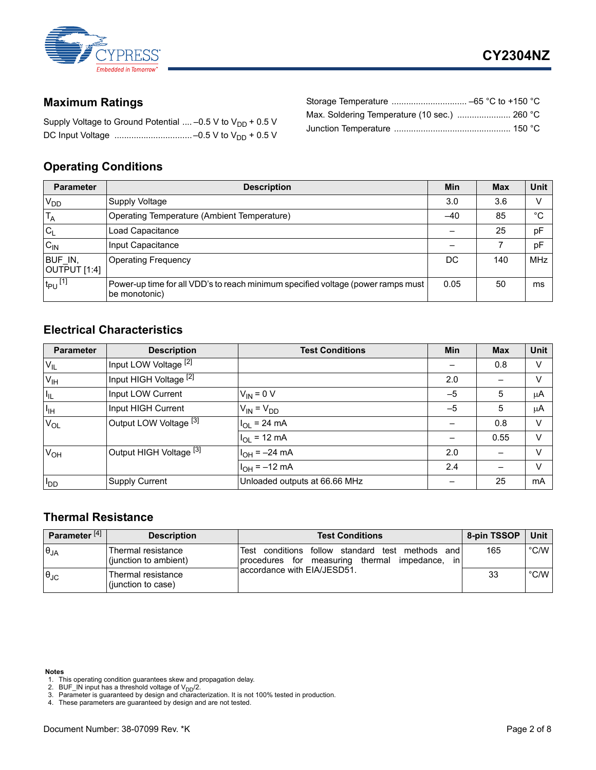

## <span id="page-1-5"></span>**Maximum Ratings**

| Supply Voltage to Ground Potential  -0.5 V to $V_{DD}$ + 0.5 V |  |
|----------------------------------------------------------------|--|
|                                                                |  |

#### <span id="page-1-4"></span>**Operating Conditions**

| <b>Parameter</b>        | <b>Description</b>                                                                                | Min  | <b>Max</b> | <b>Unit</b> |
|-------------------------|---------------------------------------------------------------------------------------------------|------|------------|-------------|
| $V_{DD}$                | Supply Voltage                                                                                    | 3.0  | 3.6        | v           |
| $T_A$                   | Operating Temperature (Ambient Temperature)                                                       | -40  | 85         | °C          |
| lc <sub>L</sub>         | Load Capacitance                                                                                  |      | 25         | pF          |
| $C_{IN}$                | Input Capacitance                                                                                 |      |            | pF          |
| BUF IN,<br>OUTPUT [1:4] | <b>Operating Frequency</b>                                                                        | DC   | 140        | <b>MHz</b>  |
| $t_{PU}$ <sup>[1]</sup> | Power-up time for all VDD's to reach minimum specified voltage (power ramps must<br>be monotonic) | 0.05 | 50         | ms          |

#### **Electrical Characteristics**

| <b>Parameter</b> | <b>Description</b>                 | <b>Test Conditions</b>        | Min  | <b>Max</b> | Unit    |
|------------------|------------------------------------|-------------------------------|------|------------|---------|
| $V_{IL}$         | Input LOW Voltage <sup>[2]</sup>   |                               |      | 0.8        | V       |
| $V_{\text{IH}}$  | Input HIGH Voltage [2]             |                               | 2.0  |            | V       |
| l <sub>IL</sub>  | Input LOW Current                  | $V_{IN} = 0 V$                | $-5$ | 5          | $\mu$ A |
| $I_{\text{IH}}$  | Input HIGH Current                 | $V_{IN} = V_{DD}$             | $-5$ | 5          | μA      |
| $V_{OL}$         | Output LOW Voltage [3]             | $II_{OL}$ = 24 mA             |      | 0.8        | V       |
|                  |                                    | $H_{OL}$ = 12 mA              |      | 0.55       | v       |
| $V_{OH}$         | Output HIGH Voltage <sup>[3]</sup> | $H_{OH} = -24 \text{ mA}$     | 2.0  |            | V       |
|                  |                                    | $I_{OH} = -12 \text{ mA}$     | 2.4  |            | $\vee$  |
| ll <sub>DD</sub> | <b>Supply Current</b>              | Unloaded outputs at 66.66 MHz |      | 25         | mA      |

#### <span id="page-1-6"></span>**Thermal Resistance**

| Parameter <sup>[4]</sup> | <b>Description</b>                           | <b>Test Conditions</b>                                                                                                      | 8-pin TSSOP | Unit          |
|--------------------------|----------------------------------------------|-----------------------------------------------------------------------------------------------------------------------------|-------------|---------------|
| $\theta_{JA}$            | lThermal resistance<br>(junction to ambient) | Test conditions follow standard<br>methods<br>test<br>and<br>measuring thermal<br>impedance.<br>procedures for<br><i>in</i> | 165         | $\degree$ C/W |
| $\theta_{\rm JC}$        | Thermal resistance<br>(junction to case)     | laccordance with EIA/JESD51.                                                                                                | 33          | $\degree$ C/W |

- <span id="page-1-2"></span>**Notes** 1. This operating condition guarantees skew and propagation delay.
- <span id="page-1-0"></span>2. BUF\_IN input has a threshold voltage of  $V_{DD}/2$ .
- <span id="page-1-1"></span>3. Parameter is guaranteed by design and characterization. It is not 100% tested in production. 4. These parameters are guaranteed by design and are not tested.
- <span id="page-1-3"></span>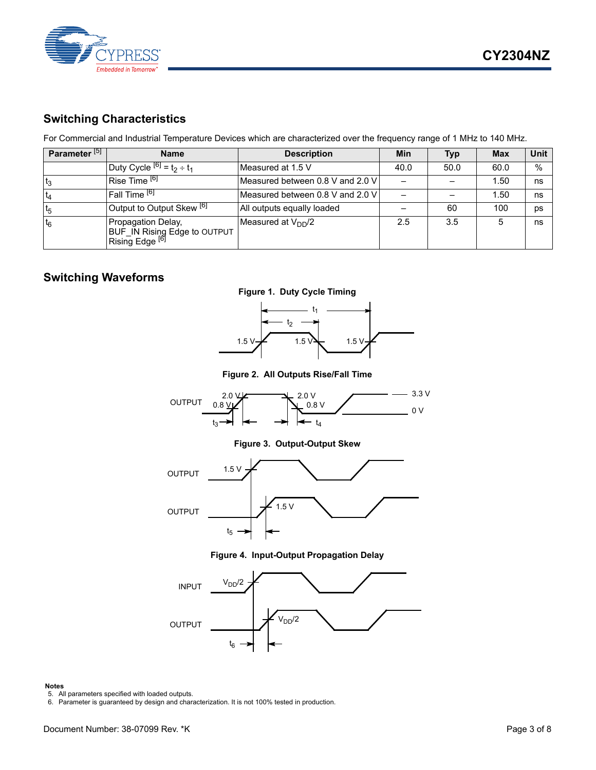

## <span id="page-2-2"></span>**Switching Characteristics**

For Commercial and Industrial Temperature Devices which are characterized over the frequency range of 1 MHz to 140 MHz.

| Parameter <sup>[5]</sup> | <b>Name</b>                                                                      | <b>Description</b>               | Min  | <b>Typ</b> | <b>Max</b> | Unit |
|--------------------------|----------------------------------------------------------------------------------|----------------------------------|------|------------|------------|------|
|                          | Duty Cycle $[6]$ = $t_2 \div t_1$                                                | Measured at 1.5 V                | 40.0 | 50.0       | 60.0       | %    |
| t <sub>3</sub>           | Rise Time <sup>[6]</sup>                                                         | Measured between 0.8 V and 2.0 V |      |            | 1.50       | ns   |
| $t_4$                    | Fall Time [6]                                                                    | Measured between 0.8 V and 2.0 V |      |            | 1.50       | ns   |
| t <sub>5</sub>           | Output to Output Skew <sup>[6]</sup>                                             | All outputs equally loaded       |      | 60         | 100        | ps   |
| $t_6$                    | Propagation Delay,<br>BUF_IN Rising Edge to OUTPUT<br>Rising Edge <sup>[6]</sup> | Measured at $V_{DD}/2$           | 2.5  | 3.5        |            | ns   |

### **Switching Waveforms**





**Figure 2. All Outputs Rise/Fall Time**



**Figure 3. Output-Output Skew**



**Figure 4. Input-Output Propagation Delay**



#### **Notes**

<span id="page-2-0"></span>

<span id="page-2-1"></span>5. All parameters specified with loaded outputs. 6. Parameter is guaranteed by design and characterization. It is not 100% tested in production.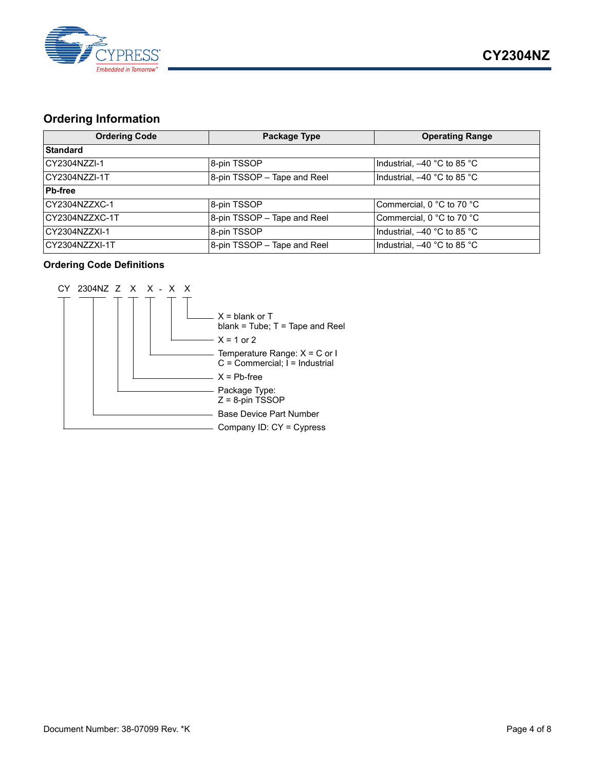

## <span id="page-3-0"></span>**Ordering Information**

| <b>Ordering Code</b> | Package Type                   | <b>Operating Range</b>      |
|----------------------|--------------------------------|-----------------------------|
| Standard             |                                |                             |
| ICY2304NZZI-1        | 8-pin TSSOP                    | Industrial, -40 °C to 85 °C |
| CY2304NZZI-1T        | $8$ -pin TSSOP - Tape and Reel | Industrial, -40 °C to 85 °C |
| <b>Pb-free</b>       |                                |                             |
| CY2304NZZXC-1        | 8-pin TSSOP                    | Commercial, 0 °C to 70 °C   |
| CY2304NZZXC-1T       | 8-pin TSSOP - Tape and Reel    | Commercial, 0 °C to 70 °C   |
| ICY2304NZZXI-1       | 8-pin TSSOP                    | Industrial, -40 °C to 85 °C |
| CY2304NZZXI-1T       | 8-pin TSSOP - Tape and Reel    | Industrial, -40 °C to 85 °C |

#### <span id="page-3-1"></span>**Ordering Code Definitions**

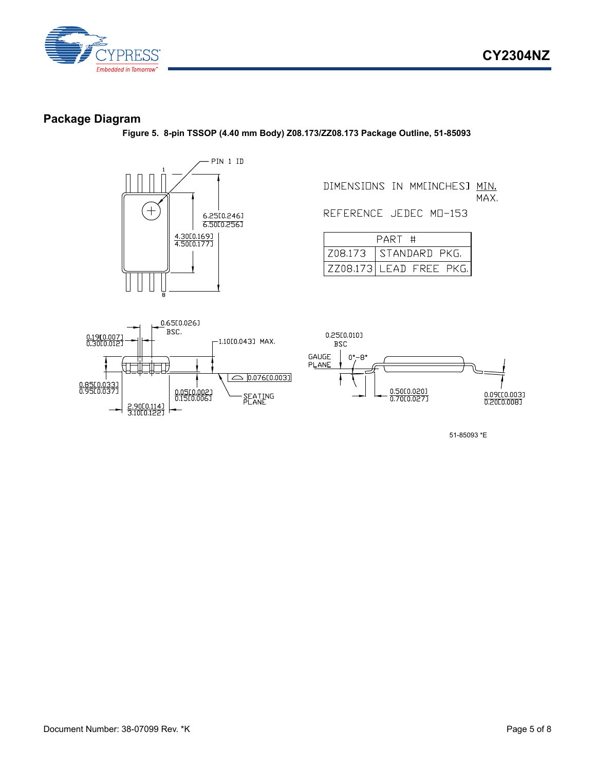



#### <span id="page-4-0"></span>**Package Diagram**

**Figure 5. 8-pin TSSOP (4.40 mm Body) Z08.173/ZZ08.173 Package Outline, 51-85093**



DIMENSIONS IN MMEINCHESJ MIN. MAX.

REFERENCE JEDEC MD-153

| PART #                  |
|-------------------------|
| Z08.173   STANDARD PKG. |
| ZZ08.173 LEAD FREE PKG. |





51-85093 \*E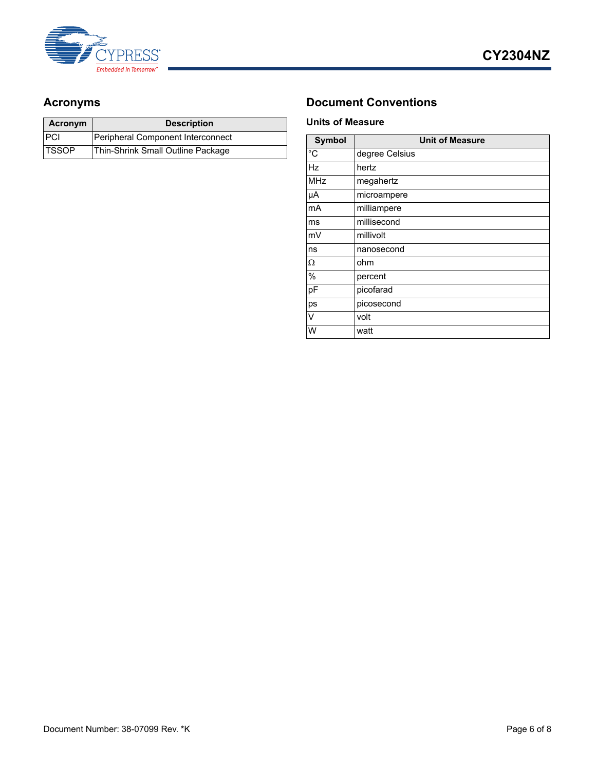

| Acronym      | <b>Description</b>                |
|--------------|-----------------------------------|
| PCI          | Peripheral Component Interconnect |
| <b>TSSOP</b> | Thin-Shrink Small Outline Package |

## <span id="page-5-0"></span>Acronyms **Document Conventions**

#### <span id="page-5-1"></span>**Units of Measure**

| <b>Symbol</b> | <b>Unit of Measure</b> |  |  |
|---------------|------------------------|--|--|
| $^{\circ}C$   | degree Celsius         |  |  |
| Hz            | hertz                  |  |  |
| MHz           | megahertz              |  |  |
| μA            | microampere            |  |  |
| mA            | milliampere            |  |  |
| ms            | millisecond            |  |  |
| mV            | millivolt              |  |  |
| ns            | nanosecond             |  |  |
| Ω             | ohm                    |  |  |
| %             | percent                |  |  |
| pF            | picofarad              |  |  |
| ps            | picosecond             |  |  |
| V             | volt                   |  |  |
| W             | watt                   |  |  |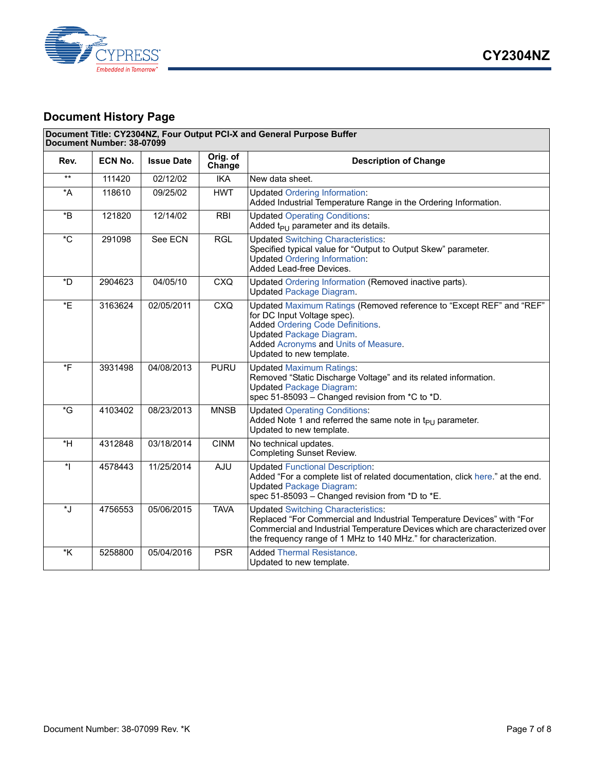

## **Document History Page**

| Document Title: CY2304NZ, Four Output PCI-X and General Purpose Buffer<br>Document Number: 38-07099 |         |                   |                    |                                                                                                                                                                                                                                                                      |  |  |
|-----------------------------------------------------------------------------------------------------|---------|-------------------|--------------------|----------------------------------------------------------------------------------------------------------------------------------------------------------------------------------------------------------------------------------------------------------------------|--|--|
| Rev.                                                                                                | ECN No. | <b>Issue Date</b> | Orig. of<br>Change | <b>Description of Change</b>                                                                                                                                                                                                                                         |  |  |
| $***$                                                                                               | 111420  | 02/12/02          | <b>IKA</b>         | New data sheet.                                                                                                                                                                                                                                                      |  |  |
| $\star$ A                                                                                           | 118610  | 09/25/02          | <b>HWT</b>         | <b>Updated Ordering Information:</b><br>Added Industrial Temperature Range in the Ordering Information.                                                                                                                                                              |  |  |
| $*_{\mathsf{B}}$                                                                                    | 121820  | 12/14/02          | <b>RBI</b>         | <b>Updated Operating Conditions:</b><br>Added $t_{PI}$ parameter and its details.                                                                                                                                                                                    |  |  |
| $^\star\mathrm{C}$                                                                                  | 291098  | See ECN           | <b>RGL</b>         | <b>Updated Switching Characteristics:</b><br>Specified typical value for "Output to Output Skew" parameter.<br><b>Updated Ordering Information:</b><br>Added Lead-free Devices.                                                                                      |  |  |
| *D                                                                                                  | 2904623 | 04/05/10          | <b>CXQ</b>         | Updated Ordering Information (Removed inactive parts).<br><b>Updated Package Diagram.</b>                                                                                                                                                                            |  |  |
| *E                                                                                                  | 3163624 | 02/05/2011        | <b>CXQ</b>         | Updated Maximum Ratings (Removed reference to "Except REF" and "REF"<br>for DC Input Voltage spec).<br><b>Added Ordering Code Definitions.</b><br><b>Updated Package Diagram.</b><br>Added Acronyms and Units of Measure.<br>Updated to new template.                |  |  |
| $\overline{\ }$ F                                                                                   | 3931498 | 04/08/2013        | <b>PURU</b>        | <b>Updated Maximum Ratings:</b><br>Removed "Static Discharge Voltage" and its related information.<br><b>Updated Package Diagram:</b><br>spec 51-85093 - Changed revision from *C to *D.                                                                             |  |  |
| *G                                                                                                  | 4103402 | 08/23/2013        | <b>MNSB</b>        | <b>Updated Operating Conditions:</b><br>Added Note 1 and referred the same note in $t_{PU}$ parameter.<br>Updated to new template.                                                                                                                                   |  |  |
| $*H$                                                                                                | 4312848 | 03/18/2014        | <b>CINM</b>        | No technical updates.<br><b>Completing Sunset Review.</b>                                                                                                                                                                                                            |  |  |
| $\ddot{\phantom{0}}$                                                                                | 4578443 | 11/25/2014        | AJU                | <b>Updated Functional Description:</b><br>Added "For a complete list of related documentation, click here." at the end.<br><b>Updated Package Diagram:</b><br>spec 51-85093 - Changed revision from *D to *E.                                                        |  |  |
| *J                                                                                                  | 4756553 | 05/06/2015        | <b>TAVA</b>        | <b>Updated Switching Characteristics:</b><br>Replaced "For Commercial and Industrial Temperature Devices" with "For<br>Commercial and Industrial Temperature Devices which are characterized over<br>the frequency range of 1 MHz to 140 MHz." for characterization. |  |  |
| $*_{\mathsf{K}}$                                                                                    | 5258800 | 05/04/2016        | <b>PSR</b>         | <b>Added Thermal Resistance.</b><br>Updated to new template.                                                                                                                                                                                                         |  |  |